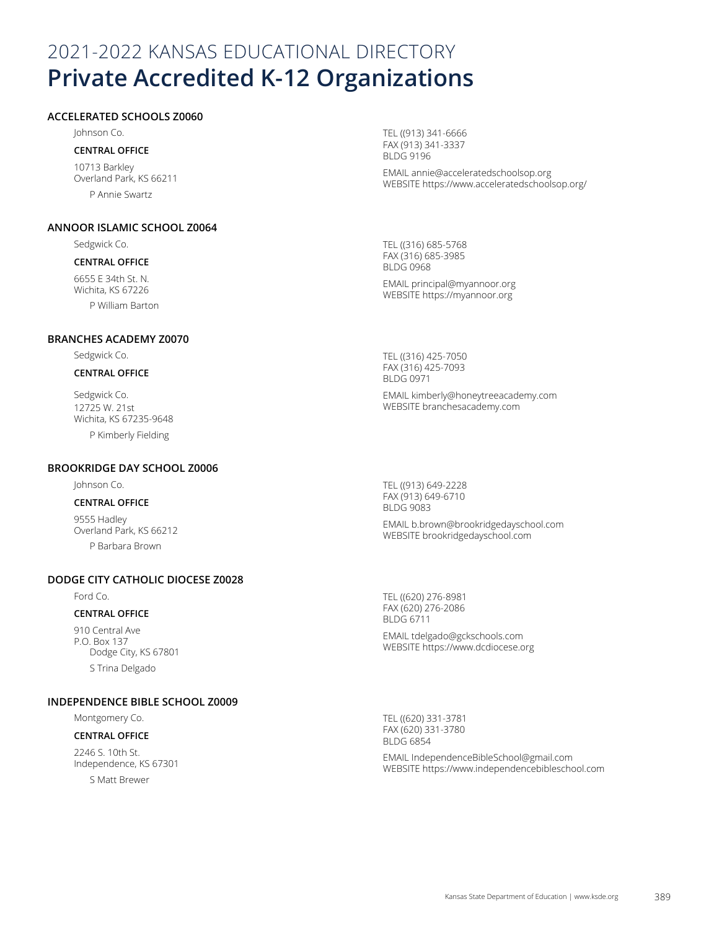# 2021-2022 KANSAS EDUCATIONAL DIRECTORY **Private Accredited K-12 Organizations**

#### **ACCELERATED SCHOOLS Z0060**

Johnson Co.

# **CENTRAL OFFICE**

10713 Barkley Overland Park, KS 66211 P Annie Swartz

#### **ANNOOR ISLAMIC SCHOOL Z0064**

Sedgwick Co.

#### **CENTRAL OFFICE**

6655 E 34th St. N. Wichita, KS 67226 P William Barton TEL ((913) 341-6666 FAX (913) 341-3337 BLDG 9196

EMAIL annie@acceleratedschoolsop.org WEBSITE https://www.acceleratedschoolsop.org/

TEL ((316) 685-5768 FAX (316) 685-3985 BLDG 0968 EMAIL principal@myannoor.org

WEBSITE https://myannoor.org

# **BRANCHES ACADEMY Z0070**

Sedgwick Co.

#### **CENTRAL OFFICE**

Sedgwick Co. 12725 W. 21st Wichita, KS 67235-9648 P Kimberly Fielding

#### **BROOKRIDGE DAY SCHOOL Z0006**

#### Johnson Co.

#### **CENTRAL OFFICE**

9555 Hadley Overland Park, KS 66212 P Barbara Brown

#### **DODGE CITY CATHOLIC DIOCESE Z0028**

Ford Co.

#### **CENTRAL OFFICE**

910 Central Ave P.O. Box 137 Dodge City, KS 67801 S Trina Delgado

#### **INDEPENDENCE BIBLE SCHOOL Z0009**

Montgomery Co.

#### **CENTRAL OFFICE**

2246 S. 10th St. Independence, KS 67301

S Matt Brewer

TEL ((316) 425-7050 FAX (316) 425-7093 BLDG 0971

EMAIL kimberly@honeytreeacademy.com WEBSITE branchesacademy.com

TEL ((913) 649-2228 FAX (913) 649-6710 BLDG 9083

EMAIL b.brown@brookridgedayschool.com WEBSITE brookridgedayschool.com

TEL ((620) 276-8981 FAX (620) 276-2086 BLDG 6711

EMAIL tdelgado@gckschools.com WEBSITE https://www.dcdiocese.org

TEL ((620) 331-3781 FAX (620) 331-3780 BLDG 6854

EMAIL IndependenceBibleSchool@gmail.com WEBSITE https://www.independencebibleschool.com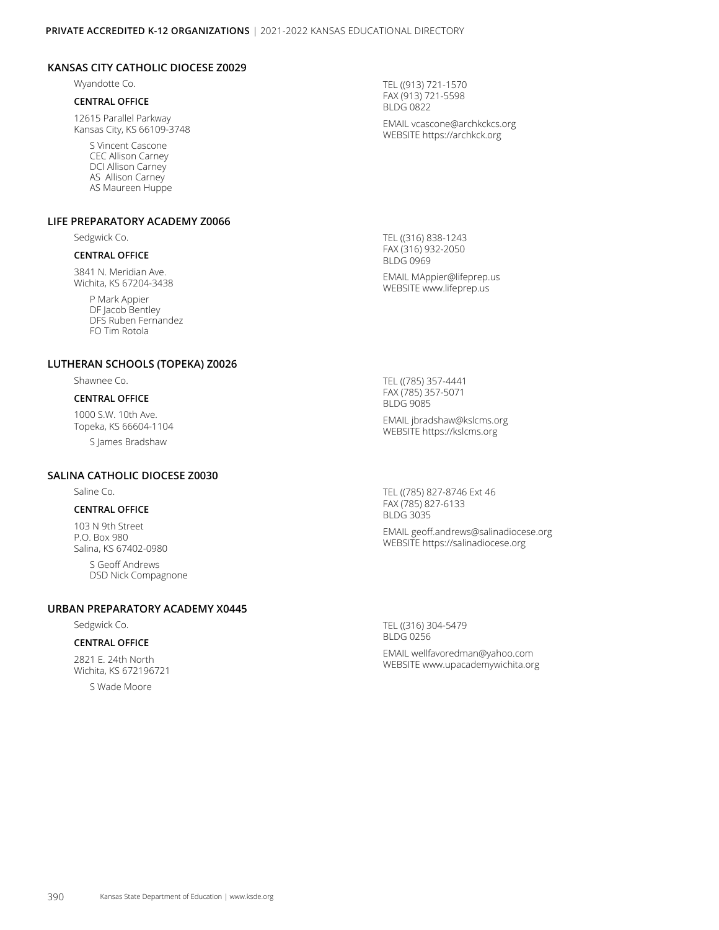#### **KANSAS CITY CATHOLIC DIOCESE Z0029**

Wyandotte Co.

#### **CENTRAL OFFICE**

12615 Parallel Parkway Kansas City, KS 66109-3748

> S Vincent Cascone CEC Allison Carney DCI Allison Carney AS Allison Carney AS Maureen Huppe

#### **LIFE PREPARATORY ACADEMY Z0066**

Sedgwick Co.

#### **CENTRAL OFFICE**

3841 N. Meridian Ave. Wichita, KS 67204-3438

> P Mark Appier DF Jacob Bentley DFS Ruben Fernandez FO Tim Rotola

#### **LUTHERAN SCHOOLS (TOPEKA) Z0026**

Shawnee Co.

#### **CENTRAL OFFICE**

1000 S.W. 10th Ave. Topeka, KS 66604-1104

S James Bradshaw

#### **SALINA CATHOLIC DIOCESE Z0030**

Saline Co.

#### **CENTRAL OFFICE**

103 N 9th Street P.O. Box 980 Salina, KS 67402-0980

> S Geoff Andrews DSD Nick Compagnone

#### **URBAN PREPARATORY ACADEMY X0445**

Sedgwick Co.

#### **CENTRAL OFFICE**

2821 E. 24th North Wichita, KS 672196721

S Wade Moore

TEL ((913) 721-1570 FAX (913) 721-5598 BLDG 0822 EMAIL vcascone@archkckcs.org WEBSITE https://archkck.org

TEL ((316) 838-1243 FAX (316) 932-2050 BLDG 0969 EMAIL MAppier@lifeprep.us WEBSITE www.lifeprep.us

TEL ((785) 357-4441 FAX (785) 357-5071 BLDG 9085

EMAIL jbradshaw@kslcms.org WEBSITE https://kslcms.org

TEL ((785) 827-8746 Ext 46 FAX (785) 827-6133 BLDG 3035

EMAIL geoff.andrews@salinadiocese.org WEBSITE https://salinadiocese.org

TEL ((316) 304-5479 BLDG 0256

EMAIL wellfavoredman@yahoo.com WEBSITE www.upacademywichita.org